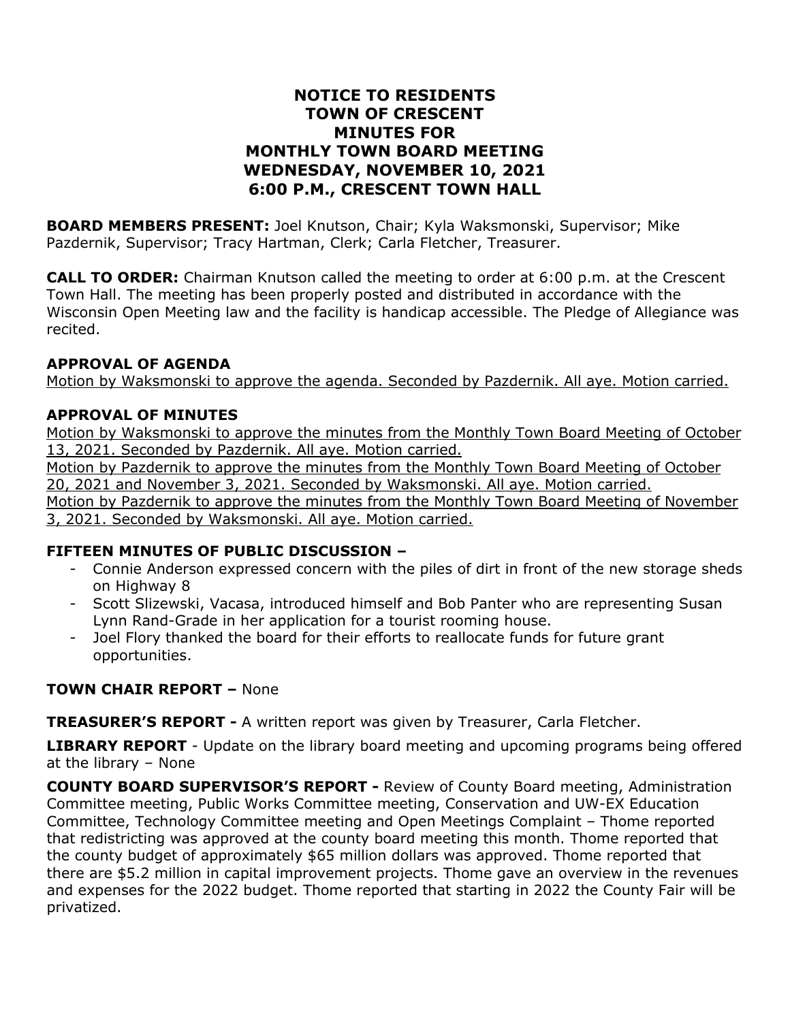## **NOTICE TO RESIDENTS TOWN OF CRESCENT MINUTES FOR MONTHLY TOWN BOARD MEETING WEDNESDAY, NOVEMBER 10, 2021 6:00 P.M., CRESCENT TOWN HALL**

**BOARD MEMBERS PRESENT:** Joel Knutson, Chair; Kyla Waksmonski, Supervisor; Mike Pazdernik, Supervisor; Tracy Hartman, Clerk; Carla Fletcher, Treasurer.

**CALL TO ORDER:** Chairman Knutson called the meeting to order at 6:00 p.m. at the Crescent Town Hall. The meeting has been properly posted and distributed in accordance with the Wisconsin Open Meeting law and the facility is handicap accessible. The Pledge of Allegiance was recited.

### **APPROVAL OF AGENDA**

Motion by Waksmonski to approve the agenda. Seconded by Pazdernik. All aye. Motion carried.

### **APPROVAL OF MINUTES**

Motion by Waksmonski to approve the minutes from the Monthly Town Board Meeting of October 13, 2021. Seconded by Pazdernik. All aye. Motion carried.

Motion by Pazdernik to approve the minutes from the Monthly Town Board Meeting of October 20, 2021 and November 3, 2021. Seconded by Waksmonski. All aye. Motion carried.

Motion by Pazdernik to approve the minutes from the Monthly Town Board Meeting of November 3, 2021. Seconded by Waksmonski. All aye. Motion carried.

#### **FIFTEEN MINUTES OF PUBLIC DISCUSSION –**

- Connie Anderson expressed concern with the piles of dirt in front of the new storage sheds on Highway 8
- Scott Slizewski, Vacasa, introduced himself and Bob Panter who are representing Susan Lynn Rand-Grade in her application for a tourist rooming house.
- Joel Flory thanked the board for their efforts to reallocate funds for future grant opportunities.

### **TOWN CHAIR REPORT –** None

**TREASURER'S REPORT -** A written report was given by Treasurer, Carla Fletcher.

**LIBRARY REPORT** - Update on the library board meeting and upcoming programs being offered at the library – None

**COUNTY BOARD SUPERVISOR'S REPORT -** Review of County Board meeting, Administration Committee meeting, Public Works Committee meeting, Conservation and UW-EX Education Committee, Technology Committee meeting and Open Meetings Complaint – Thome reported that redistricting was approved at the county board meeting this month. Thome reported that the county budget of approximately \$65 million dollars was approved. Thome reported that there are \$5.2 million in capital improvement projects. Thome gave an overview in the revenues and expenses for the 2022 budget. Thome reported that starting in 2022 the County Fair will be privatized.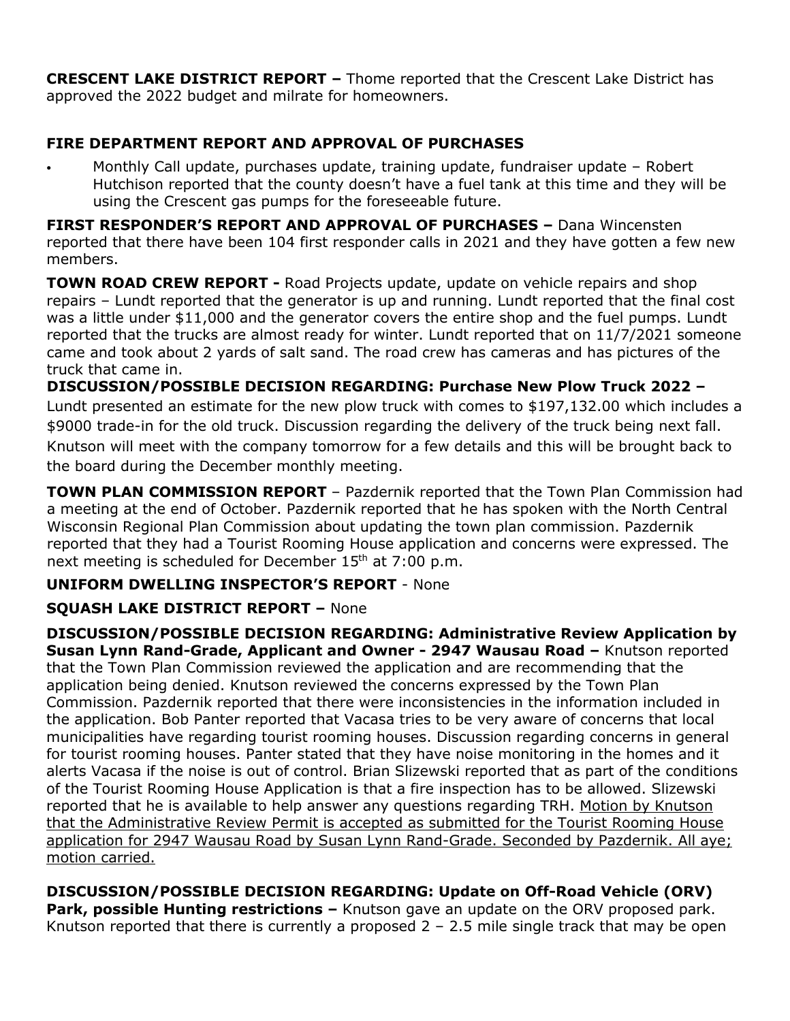**CRESCENT LAKE DISTRICT REPORT –** Thome reported that the Crescent Lake District has approved the 2022 budget and milrate for homeowners.

## **FIRE DEPARTMENT REPORT AND APPROVAL OF PURCHASES**

• Monthly Call update, purchases update, training update, fundraiser update – Robert Hutchison reported that the county doesn't have a fuel tank at this time and they will be using the Crescent gas pumps for the foreseeable future.

**FIRST RESPONDER'S REPORT AND APPROVAL OF PURCHASES –** Dana Wincensten reported that there have been 104 first responder calls in 2021 and they have gotten a few new members.

**TOWN ROAD CREW REPORT -** Road Projects update, update on vehicle repairs and shop repairs – Lundt reported that the generator is up and running. Lundt reported that the final cost was a little under \$11,000 and the generator covers the entire shop and the fuel pumps. Lundt reported that the trucks are almost ready for winter. Lundt reported that on 11/7/2021 someone came and took about 2 yards of salt sand. The road crew has cameras and has pictures of the truck that came in.

**DISCUSSION/POSSIBLE DECISION REGARDING: Purchase New Plow Truck 2022 –** Lundt presented an estimate for the new plow truck with comes to \$197,132.00 which includes a \$9000 trade-in for the old truck. Discussion regarding the delivery of the truck being next fall. Knutson will meet with the company tomorrow for a few details and this will be brought back to the board during the December monthly meeting.

**TOWN PLAN COMMISSION REPORT** – Pazdernik reported that the Town Plan Commission had a meeting at the end of October. Pazdernik reported that he has spoken with the North Central Wisconsin Regional Plan Commission about updating the town plan commission. Pazdernik reported that they had a Tourist Rooming House application and concerns were expressed. The next meeting is scheduled for December 15<sup>th</sup> at 7:00 p.m.

## **UNIFORM DWELLING INSPECTOR'S REPORT** - None

## **SQUASH LAKE DISTRICT REPORT –** None

**DISCUSSION/POSSIBLE DECISION REGARDING: Administrative Review Application by Susan Lynn Rand-Grade, Applicant and Owner - 2947 Wausau Road –** Knutson reported that the Town Plan Commission reviewed the application and are recommending that the application being denied. Knutson reviewed the concerns expressed by the Town Plan Commission. Pazdernik reported that there were inconsistencies in the information included in the application. Bob Panter reported that Vacasa tries to be very aware of concerns that local municipalities have regarding tourist rooming houses. Discussion regarding concerns in general for tourist rooming houses. Panter stated that they have noise monitoring in the homes and it alerts Vacasa if the noise is out of control. Brian Slizewski reported that as part of the conditions of the Tourist Rooming House Application is that a fire inspection has to be allowed. Slizewski reported that he is available to help answer any questions regarding TRH. Motion by Knutson that the Administrative Review Permit is accepted as submitted for the Tourist Rooming House application for 2947 Wausau Road by Susan Lynn Rand-Grade. Seconded by Pazdernik. All aye; motion carried.

# **DISCUSSION/POSSIBLE DECISION REGARDING: Update on Off-Road Vehicle (ORV)**

**Park, possible Hunting restrictions –** Knutson gave an update on the ORV proposed park. Knutson reported that there is currently a proposed  $2 - 2.5$  mile single track that may be open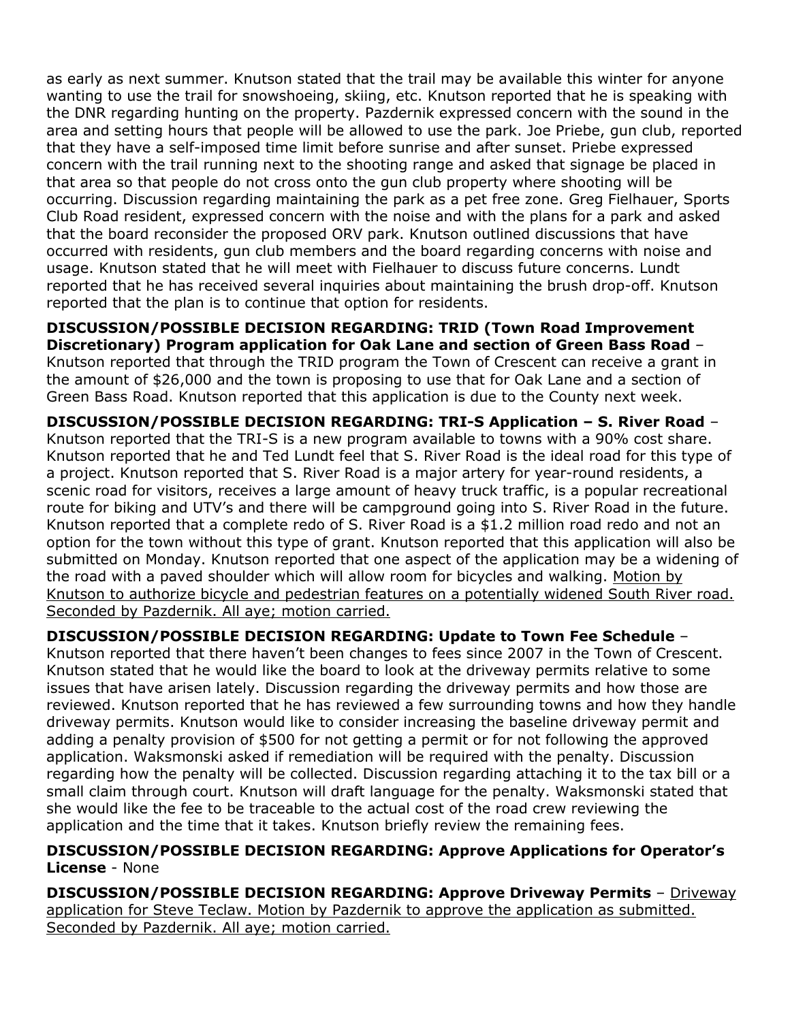as early as next summer. Knutson stated that the trail may be available this winter for anyone wanting to use the trail for snowshoeing, skiing, etc. Knutson reported that he is speaking with the DNR regarding hunting on the property. Pazdernik expressed concern with the sound in the area and setting hours that people will be allowed to use the park. Joe Priebe, gun club, reported that they have a self-imposed time limit before sunrise and after sunset. Priebe expressed concern with the trail running next to the shooting range and asked that signage be placed in that area so that people do not cross onto the gun club property where shooting will be occurring. Discussion regarding maintaining the park as a pet free zone. Greg Fielhauer, Sports Club Road resident, expressed concern with the noise and with the plans for a park and asked that the board reconsider the proposed ORV park. Knutson outlined discussions that have occurred with residents, gun club members and the board regarding concerns with noise and usage. Knutson stated that he will meet with Fielhauer to discuss future concerns. Lundt reported that he has received several inquiries about maintaining the brush drop-off. Knutson reported that the plan is to continue that option for residents.

**DISCUSSION/POSSIBLE DECISION REGARDING: TRID (Town Road Improvement Discretionary) Program application for Oak Lane and section of Green Bass Road** – Knutson reported that through the TRID program the Town of Crescent can receive a grant in the amount of \$26,000 and the town is proposing to use that for Oak Lane and a section of Green Bass Road. Knutson reported that this application is due to the County next week.

**DISCUSSION/POSSIBLE DECISION REGARDING: TRI-S Application – S. River Road** – Knutson reported that the TRI-S is a new program available to towns with a 90% cost share. Knutson reported that he and Ted Lundt feel that S. River Road is the ideal road for this type of a project. Knutson reported that S. River Road is a major artery for year-round residents, a scenic road for visitors, receives a large amount of heavy truck traffic, is a popular recreational route for biking and UTV's and there will be campground going into S. River Road in the future. Knutson reported that a complete redo of S. River Road is a \$1.2 million road redo and not an option for the town without this type of grant. Knutson reported that this application will also be submitted on Monday. Knutson reported that one aspect of the application may be a widening of the road with a paved shoulder which will allow room for bicycles and walking. Motion by Knutson to authorize bicycle and pedestrian features on a potentially widened South River road. Seconded by Pazdernik. All aye; motion carried.

**DISCUSSION/POSSIBLE DECISION REGARDING: Update to Town Fee Schedule** – Knutson reported that there haven't been changes to fees since 2007 in the Town of Crescent. Knutson stated that he would like the board to look at the driveway permits relative to some issues that have arisen lately. Discussion regarding the driveway permits and how those are reviewed. Knutson reported that he has reviewed a few surrounding towns and how they handle driveway permits. Knutson would like to consider increasing the baseline driveway permit and adding a penalty provision of \$500 for not getting a permit or for not following the approved application. Waksmonski asked if remediation will be required with the penalty. Discussion regarding how the penalty will be collected. Discussion regarding attaching it to the tax bill or a small claim through court. Knutson will draft language for the penalty. Waksmonski stated that she would like the fee to be traceable to the actual cost of the road crew reviewing the application and the time that it takes. Knutson briefly review the remaining fees.

### **DISCUSSION/POSSIBLE DECISION REGARDING: Approve Applications for Operator's License** - None

**DISCUSSION/POSSIBLE DECISION REGARDING: Approve Driveway Permits** – Driveway application for Steve Teclaw. Motion by Pazdernik to approve the application as submitted. Seconded by Pazdernik. All aye; motion carried.